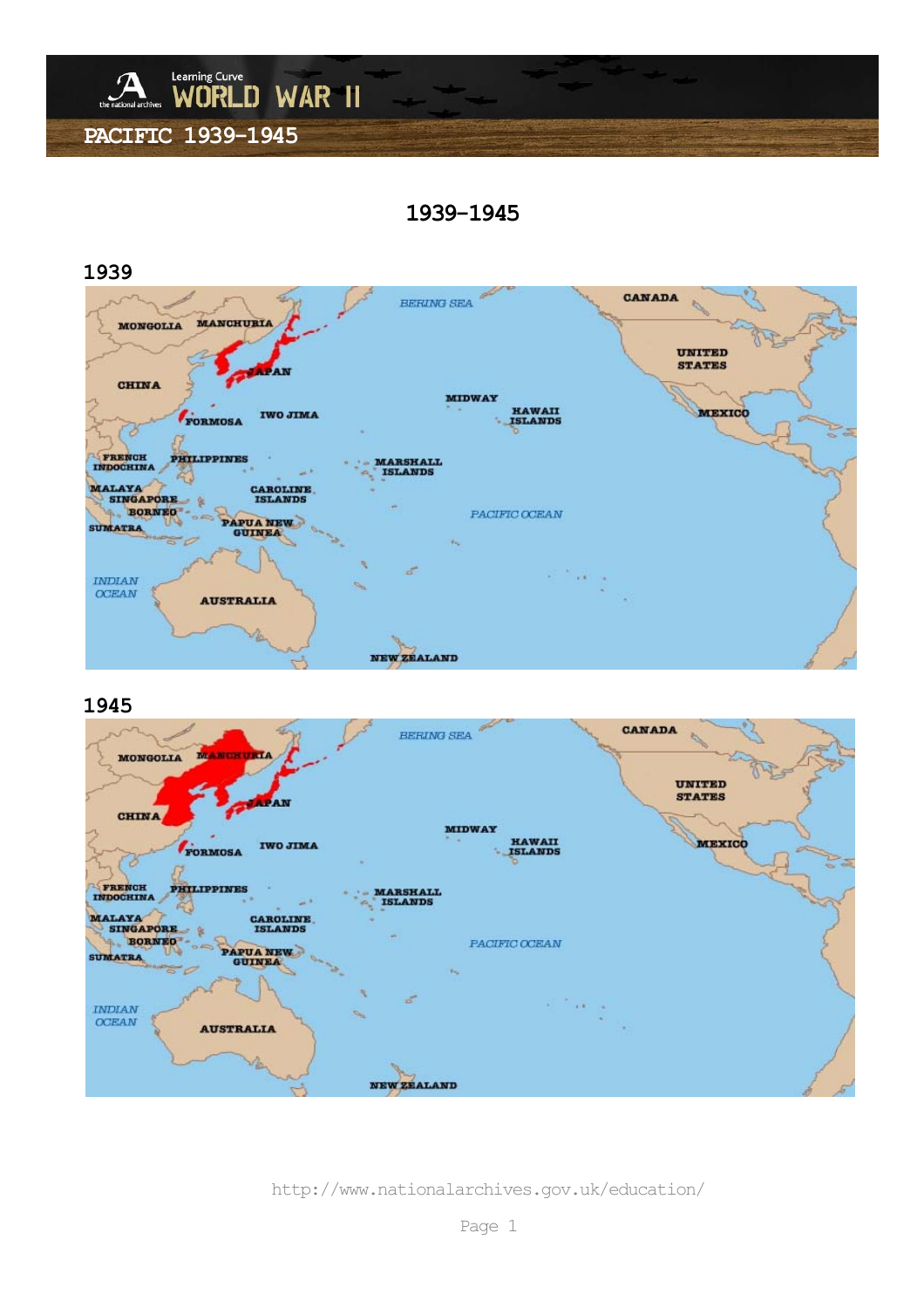

**1939-1945** 



### **1945**



http://www.nationalarchives.gov.uk/education/

Page 1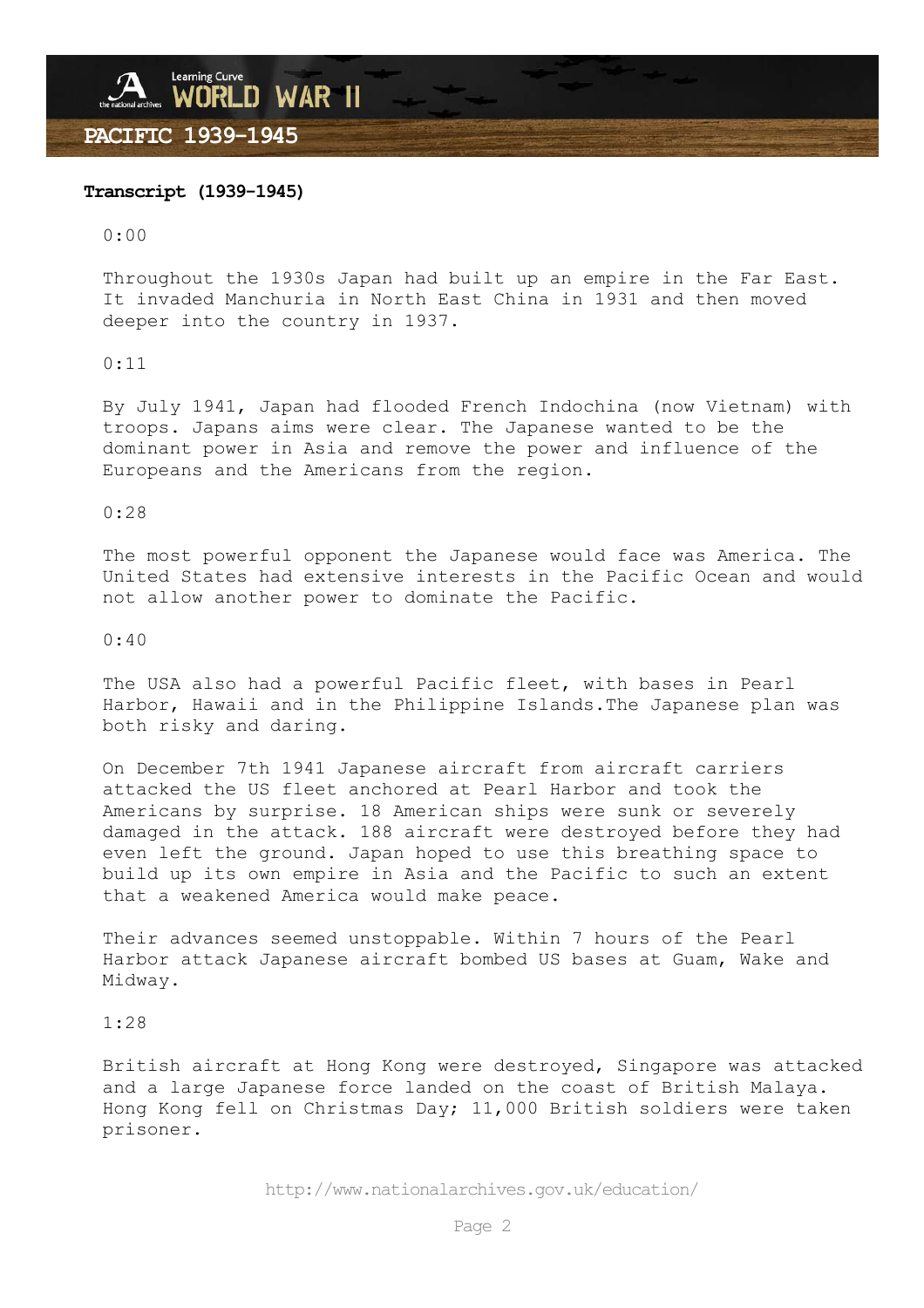# Learning Curve<br>WORLD WAR 11 **PACIFIC 1939-1945**

### **Transcript (1939-1945)**

 $0:00$ 

Throughout the 1930s Japan had built up an empire in the Far East. It invaded Manchuria in North East China in 1931 and then moved deeper into the country in 1937.

0:11

By July 1941, Japan had flooded French Indochina (now Vietnam) with troops. Japans aims were clear. The Japanese wanted to be the dominant power in Asia and remove the power and influence of the Europeans and the Americans from the region.

0:28

The most powerful opponent the Japanese would face was America. The United States had extensive interests in the Pacific Ocean and would not allow another power to dominate the Pacific.

0:40

The USA also had a powerful Pacific fleet, with bases in Pearl Harbor, Hawaii and in the Philippine Islands.The Japanese plan was both risky and daring.

On December 7th 1941 Japanese aircraft from aircraft carriers attacked the US fleet anchored at Pearl Harbor and took the Americans by surprise. 18 American ships were sunk or severely damaged in the attack. 188 aircraft were destroyed before they had even left the ground. Japan hoped to use this breathing space to build up its own empire in Asia and the Pacific to such an extent that a weakened America would make peace.

Their advances seemed unstoppable. Within 7 hours of the Pearl Harbor attack Japanese aircraft bombed US bases at Guam, Wake and Midway.

1:28

British aircraft at Hong Kong were destroyed, Singapore was attacked and a large Japanese force landed on the coast of British Malaya. Hong Kong fell on Christmas Day; 11,000 British soldiers were taken prisoner.